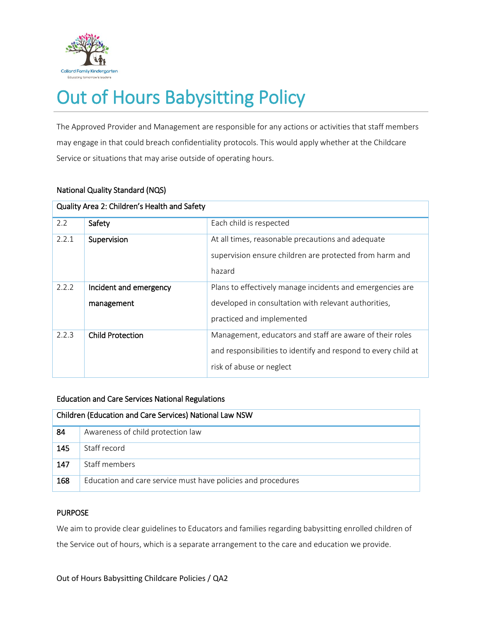

# Out of Hours Babysitting Policy

The Approved Provider and Management are responsible for any actions or activities that staff members may engage in that could breach confidentiality protocols. This would apply whether at the Childcare Service or situations that may arise outside of operating hours.

| Quality Area 2: Children's Health and Safety |                                      |                                                                                                                                                        |  |  |
|----------------------------------------------|--------------------------------------|--------------------------------------------------------------------------------------------------------------------------------------------------------|--|--|
| 2.2                                          | Safety                               | Each child is respected                                                                                                                                |  |  |
| 2.2.1                                        | Supervision                          | At all times, reasonable precautions and adequate<br>supervision ensure children are protected from harm and<br>hazard                                 |  |  |
| 2.2.2                                        | Incident and emergency<br>management | Plans to effectively manage incidents and emergencies are<br>developed in consultation with relevant authorities,<br>practiced and implemented         |  |  |
| 2.2.3                                        | <b>Child Protection</b>              | Management, educators and staff are aware of their roles<br>and responsibilities to identify and respond to every child at<br>risk of abuse or neglect |  |  |

# National Quality Standard (NQS)

# Education and Care Services National Regulations

| Children (Education and Care Services) National Law NSW |                                                              |  |
|---------------------------------------------------------|--------------------------------------------------------------|--|
| 84                                                      | Awareness of child protection law                            |  |
| 145                                                     | Staff record                                                 |  |
| 147                                                     | Staff members                                                |  |
| 168                                                     | Education and care service must have policies and procedures |  |

# PURPOSE

We aim to provide clear guidelines to Educators and families regarding babysitting enrolled children of the Service out of hours, which is a separate arrangement to the care and education we provide.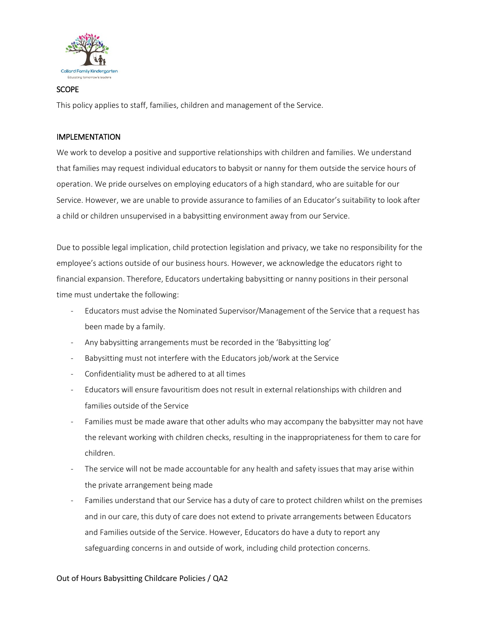

## **SCOPE**

This policy applies to staff, families, children and management of the Service.

## IMPLEMENTATION

We work to develop a positive and supportive relationships with children and families. We understand that families may request individual educators to babysit or nanny for them outside the service hours of operation. We pride ourselves on employing educators of a high standard, who are suitable for our Service. However, we are unable to provide assurance to families of an Educator's suitability to look after a child or children unsupervised in a babysitting environment away from our Service.

Due to possible legal implication, child protection legislation and privacy, we take no responsibility for the employee's actions outside of our business hours. However, we acknowledge the educators right to financial expansion. Therefore, Educators undertaking babysitting or nanny positions in their personal time must undertake the following:

- Educators must advise the Nominated Supervisor/Management of the Service that a request has been made by a family.
- Any babysitting arrangements must be recorded in the 'Babysitting log'
- Babysitting must not interfere with the Educators job/work at the Service
- Confidentiality must be adhered to at all times
- Educators will ensure favouritism does not result in external relationships with children and families outside of the Service
- Families must be made aware that other adults who may accompany the babysitter may not have the relevant working with children checks, resulting in the inappropriateness for them to care for children.
- The service will not be made accountable for any health and safety issues that may arise within the private arrangement being made
- Families understand that our Service has a duty of care to protect children whilst on the premises and in our care, this duty of care does not extend to private arrangements between Educators and Families outside of the Service. However, Educators do have a duty to report any safeguarding concerns in and outside of work, including child protection concerns.